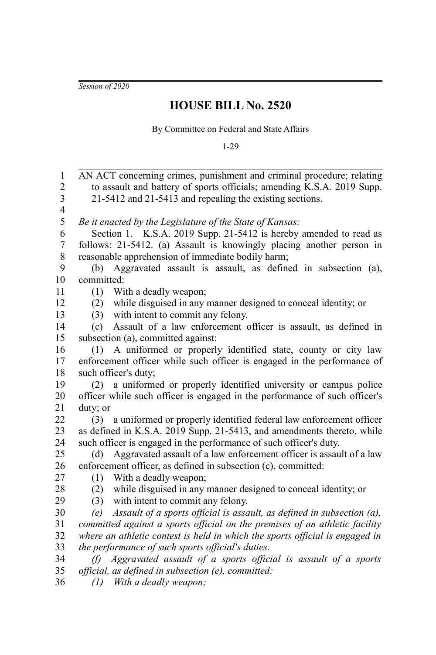*Session of 2020*

## **HOUSE BILL No. 2520**

By Committee on Federal and State Affairs

1-29

AN ACT concerning crimes, punishment and criminal procedure; relating to assault and battery of sports officials; amending K.S.A. 2019 Supp. 21-5412 and 21-5413 and repealing the existing sections. *Be it enacted by the Legislature of the State of Kansas:* Section 1. K.S.A. 2019 Supp. 21-5412 is hereby amended to read as follows: 21-5412. (a) Assault is knowingly placing another person in reasonable apprehension of immediate bodily harm; (b) Aggravated assault is assault, as defined in subsection (a), committed: (1) With a deadly weapon; (2) while disguised in any manner designed to conceal identity; or (3) with intent to commit any felony. (c) Assault of a law enforcement officer is assault, as defined in subsection (a), committed against: (1) A uniformed or properly identified state, county or city law enforcement officer while such officer is engaged in the performance of such officer's duty; (2) a uniformed or properly identified university or campus police officer while such officer is engaged in the performance of such officer's duty; or (3) a uniformed or properly identified federal law enforcement officer as defined in K.S.A. 2019 Supp. 21-5413, and amendments thereto, while such officer is engaged in the performance of such officer's duty. (d) Aggravated assault of a law enforcement officer is assault of a law enforcement officer, as defined in subsection (c), committed: (1) With a deadly weapon; (2) while disguised in any manner designed to conceal identity; or (3) with intent to commit any felony. *(e) Assault of a sports official is assault, as defined in subsection (a), committed against a sports official on the premises of an athletic facility where an athletic contest is held in which the sports official is engaged in the performance of such sports official's duties. (f) Aggravated assault of a sports official is assault of a sports official, as defined in subsection (e), committed:* 1 2 3 4 5 6 7 8 9 10 11 12 13 14 15 16 17 18 19 20 21 22 23 24 25 26 27 28 29 30 31 32 33 34 35

*(1) With a deadly weapon;* 36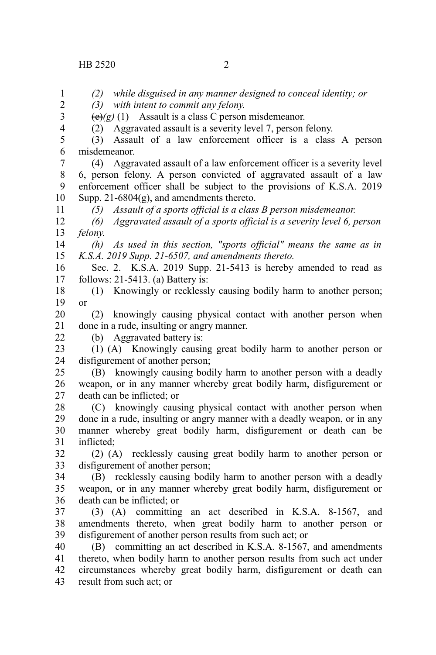*(2) while disguised in any manner designed to conceal identity; or (3) with intent to commit any felony.*  $\overline{(e)}(g)$  (1) Assault is a class C person misdemeanor. (2) Aggravated assault is a severity level 7, person felony. (3) Assault of a law enforcement officer is a class A person misdemeanor. (4) Aggravated assault of a law enforcement officer is a severity level 6, person felony. A person convicted of aggravated assault of a law enforcement officer shall be subject to the provisions of K.S.A. 2019 Supp. 21-6804 $(g)$ , and amendments thereto. *(5) Assault of a sports official is a class B person misdemeanor. (6) Aggravated assault of a sports official is a severity level 6, person felony. (h) As used in this section, "sports official" means the same as in K.S.A. 2019 Supp. 21-6507, and amendments thereto.* Sec. 2. K.S.A. 2019 Supp. 21-5413 is hereby amended to read as follows: 21-5413. (a) Battery is: (1) Knowingly or recklessly causing bodily harm to another person; or (2) knowingly causing physical contact with another person when done in a rude, insulting or angry manner. (b) Aggravated battery is: (1) (A) Knowingly causing great bodily harm to another person or disfigurement of another person; (B) knowingly causing bodily harm to another person with a deadly weapon, or in any manner whereby great bodily harm, disfigurement or death can be inflicted; or (C) knowingly causing physical contact with another person when done in a rude, insulting or angry manner with a deadly weapon, or in any manner whereby great bodily harm, disfigurement or death can be inflicted; (2) (A) recklessly causing great bodily harm to another person or disfigurement of another person; (B) recklessly causing bodily harm to another person with a deadly weapon, or in any manner whereby great bodily harm, disfigurement or death can be inflicted; or (3) (A) committing an act described in K.S.A. 8-1567, and amendments thereto, when great bodily harm to another person or disfigurement of another person results from such act; or (B) committing an act described in K.S.A. 8-1567, and amendments thereto, when bodily harm to another person results from such act under circumstances whereby great bodily harm, disfigurement or death can result from such act; or 1 2 3 4 5 6 7 8 9 10 11 12 13 14 15 16 17 18 19 20 21 22 23 24 25 26 27 28 29 30 31 32 33 34 35 36 37 38 39 40 41 42 43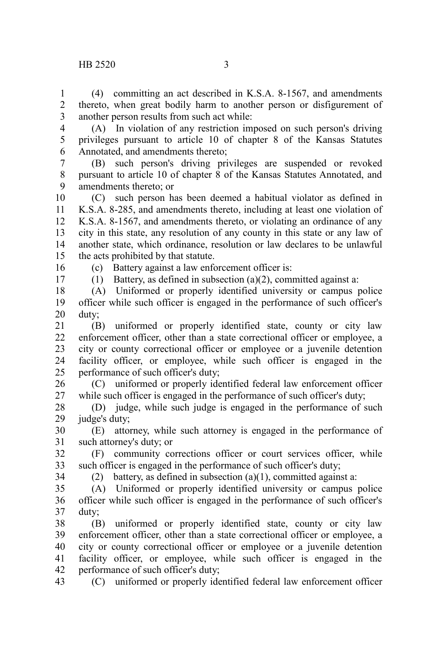(4) committing an act described in K.S.A. 8-1567, and amendments thereto, when great bodily harm to another person or disfigurement of another person results from such act while: 1 2 3

4 5

(A) In violation of any restriction imposed on such person's driving privileges pursuant to article 10 of chapter 8 of the Kansas Statutes Annotated, and amendments thereto; 6

(B) such person's driving privileges are suspended or revoked pursuant to article 10 of chapter 8 of the Kansas Statutes Annotated, and amendments thereto; or 7 8 9

(C) such person has been deemed a habitual violator as defined in K.S.A. 8-285, and amendments thereto, including at least one violation of K.S.A. 8-1567, and amendments thereto, or violating an ordinance of any city in this state, any resolution of any county in this state or any law of another state, which ordinance, resolution or law declares to be unlawful the acts prohibited by that statute. 10 11 12 13 14 15

16 17 (c) Battery against a law enforcement officer is:

(1) Battery, as defined in subsection (a)(2), committed against a:

(A) Uniformed or properly identified university or campus police officer while such officer is engaged in the performance of such officer's duty; 18 19 20

(B) uniformed or properly identified state, county or city law enforcement officer, other than a state correctional officer or employee, a city or county correctional officer or employee or a juvenile detention facility officer, or employee, while such officer is engaged in the performance of such officer's duty; 21 22 23 24 25

(C) uniformed or properly identified federal law enforcement officer while such officer is engaged in the performance of such officer's duty; 26 27

(D) judge, while such judge is engaged in the performance of such judge's duty; 28 29

(E) attorney, while such attorney is engaged in the performance of such attorney's duty; or 30 31

(F) community corrections officer or court services officer, while such officer is engaged in the performance of such officer's duty; 32 33

34

(2) battery, as defined in subsection  $(a)(1)$ , committed against a:

(A) Uniformed or properly identified university or campus police officer while such officer is engaged in the performance of such officer's duty; 35 36 37

(B) uniformed or properly identified state, county or city law enforcement officer, other than a state correctional officer or employee, a city or county correctional officer or employee or a juvenile detention facility officer, or employee, while such officer is engaged in the performance of such officer's duty; 38 39 40 41 42

(C) uniformed or properly identified federal law enforcement officer 43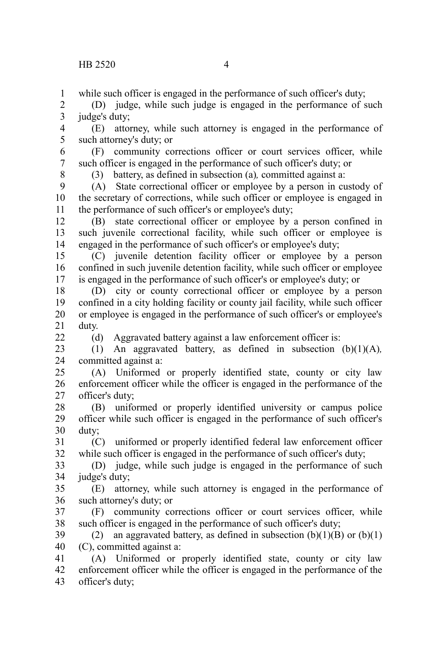while such officer is engaged in the performance of such officer's duty; 1

(D) judge, while such judge is engaged in the performance of such judge's duty; 2 3

(E) attorney, while such attorney is engaged in the performance of such attorney's duty; or 4 5

(F) community corrections officer or court services officer, while such officer is engaged in the performance of such officer's duty; or 6 7

8

 $22$ 

(3) battery, as defined in subsection (a)*,* committed against a:

(A) State correctional officer or employee by a person in custody of the secretary of corrections, while such officer or employee is engaged in the performance of such officer's or employee's duty; 9 10 11

(B) state correctional officer or employee by a person confined in such juvenile correctional facility, while such officer or employee is engaged in the performance of such officer's or employee's duty; 12 13 14

(C) juvenile detention facility officer or employee by a person confined in such juvenile detention facility, while such officer or employee is engaged in the performance of such officer's or employee's duty; or 15 16 17

(D) city or county correctional officer or employee by a person confined in a city holding facility or county jail facility, while such officer or employee is engaged in the performance of such officer's or employee's duty. 18 19 20 21

(d) Aggravated battery against a law enforcement officer is:

(1) An aggravated battery, as defined in subsection (b)(1)(A)*,* committed against a: 23 24

(A) Uniformed or properly identified state, county or city law enforcement officer while the officer is engaged in the performance of the officer's duty; 25 26 27

(B) uniformed or properly identified university or campus police officer while such officer is engaged in the performance of such officer's duty; 28 29 30

(C) uniformed or properly identified federal law enforcement officer while such officer is engaged in the performance of such officer's duty; 31 32

(D) judge, while such judge is engaged in the performance of such judge's duty; 33 34

(E) attorney, while such attorney is engaged in the performance of such attorney's duty; or 35 36

(F) community corrections officer or court services officer, while such officer is engaged in the performance of such officer's duty; 37 38

(2) an aggravated battery, as defined in subsection  $(b)(1)(B)$  or  $(b)(1)$ (C), committed against a: 39 40

(A) Uniformed or properly identified state, county or city law enforcement officer while the officer is engaged in the performance of the officer's duty; 41 42 43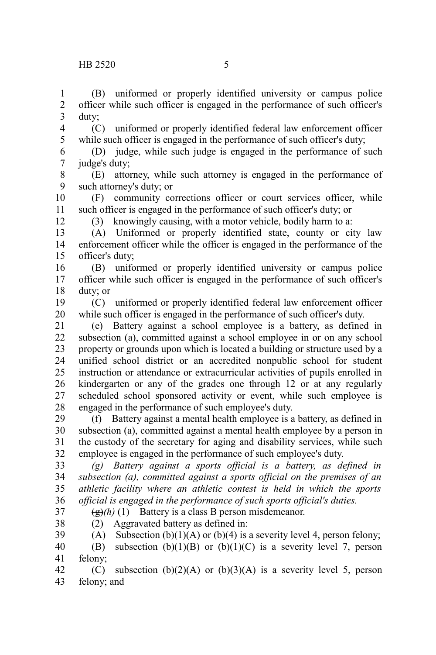(C) uniformed or properly identified federal law enforcement officer while such officer is engaged in the performance of such officer's duty; 4 5

(D) judge, while such judge is engaged in the performance of such judge's duty; 6 7

(E) attorney, while such attorney is engaged in the performance of such attorney's duty; or 8 9

(F) community corrections officer or court services officer, while such officer is engaged in the performance of such officer's duty; or 10 11

12

38

(3) knowingly causing, with a motor vehicle, bodily harm to a:

(A) Uniformed or properly identified state, county or city law enforcement officer while the officer is engaged in the performance of the officer's duty; 13 14 15

(B) uniformed or properly identified university or campus police officer while such officer is engaged in the performance of such officer's duty; or 16 17 18

(C) uniformed or properly identified federal law enforcement officer while such officer is engaged in the performance of such officer's duty. 19 20

(e) Battery against a school employee is a battery, as defined in subsection (a), committed against a school employee in or on any school property or grounds upon which is located a building or structure used by a unified school district or an accredited nonpublic school for student instruction or attendance or extracurricular activities of pupils enrolled in kindergarten or any of the grades one through 12 or at any regularly scheduled school sponsored activity or event, while such employee is engaged in the performance of such employee's duty. 21 22 23 24 25 26 27 28

(f) Battery against a mental health employee is a battery, as defined in subsection (a), committed against a mental health employee by a person in the custody of the secretary for aging and disability services, while such employee is engaged in the performance of such employee's duty. 29 30 31 32

*(g) Battery against a sports official is a battery, as defined in subsection (a), committed against a sports official on the premises of an athletic facility where an athletic contest is held in which the sports official is engaged in the performance of such sports official's duties.* 33 34 35 36 37

 $\left(\frac{g}{g}\right)(h)$  (1) Battery is a class B person misdemeanor.

(2) Aggravated battery as defined in:

(A) Subsection (b)(1)(A) or (b)(4) is a severity level 4, person felony; 39

(B) subsection  $(b)(1)(B)$  or  $(b)(1)(C)$  is a severity level 7, person felony; 40 41

(C) subsection  $(b)(2)(A)$  or  $(b)(3)(A)$  is a severity level 5, person felony; and 42 43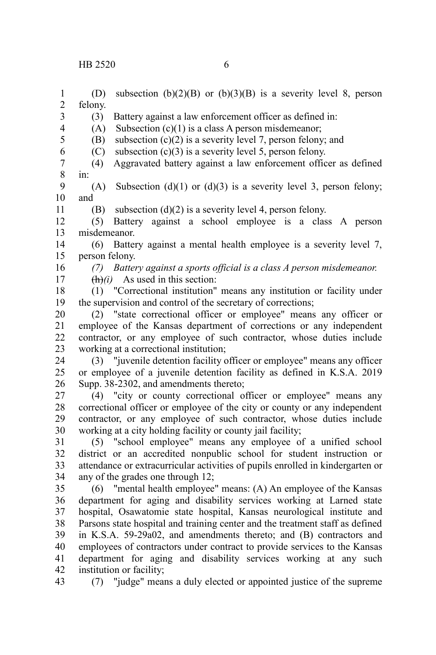(D) subsection (b)(2)(B) or (b)(3)(B) is a severity level 8, person felony. (3) Battery against a law enforcement officer as defined in: (A) Subsection  $(c)(1)$  is a class A person misdemeanor; (B) subsection  $(c)(2)$  is a severity level 7, person felony; and (C) subsection  $(c)(3)$  is a severity level 5, person felony. (4) Aggravated battery against a law enforcement officer as defined in: (A) Subsection (d)(1) or (d)(3) is a severity level 3, person felony; and (B) subsection (d)(2) is a severity level 4, person felony. (5) Battery against a school employee is a class A person misdemeanor. (6) Battery against a mental health employee is a severity level 7, person felony. *(7) Battery against a sports official is a class A person misdemeanor.* (h)*(i)* As used in this section: (1) "Correctional institution" means any institution or facility under the supervision and control of the secretary of corrections; (2) "state correctional officer or employee" means any officer or employee of the Kansas department of corrections or any independent contractor, or any employee of such contractor, whose duties include working at a correctional institution; (3) "juvenile detention facility officer or employee" means any officer or employee of a juvenile detention facility as defined in K.S.A. 2019 Supp. 38-2302, and amendments thereto; (4) "city or county correctional officer or employee" means any correctional officer or employee of the city or county or any independent contractor, or any employee of such contractor, whose duties include working at a city holding facility or county jail facility; (5) "school employee" means any employee of a unified school district or an accredited nonpublic school for student instruction or attendance or extracurricular activities of pupils enrolled in kindergarten or any of the grades one through 12; (6) "mental health employee" means: (A) An employee of the Kansas department for aging and disability services working at Larned state hospital, Osawatomie state hospital, Kansas neurological institute and Parsons state hospital and training center and the treatment staff as defined in K.S.A. 59-29a02, and amendments thereto; and (B) contractors and employees of contractors under contract to provide services to the Kansas department for aging and disability services working at any such institution or facility; (7) "judge" means a duly elected or appointed justice of the supreme 1 2 3 4 5 6 7 8 9 10 11 12 13 14 15 16 17 18 19 20 21 22 23 24 25 26 27 28 29 30 31 32 33 34 35 36 37 38 39 40 41 42 43